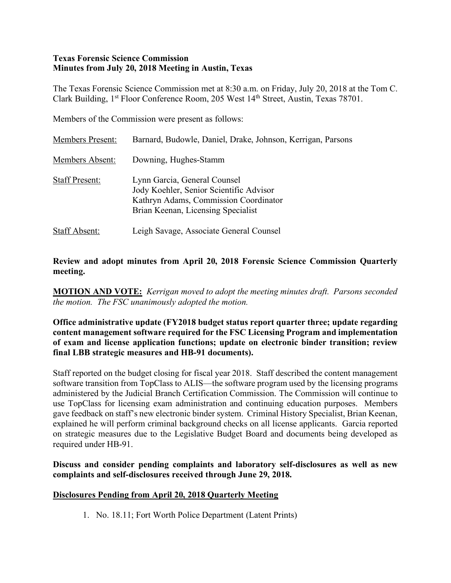### **Texas Forensic Science Commission Minutes from July 20, 2018 Meeting in Austin, Texas**

The Texas Forensic Science Commission met at 8:30 a.m. on Friday, July 20, 2018 at the Tom C. Clark Building, 1<sup>st</sup> Floor Conference Room, 205 West 14<sup>th</sup> Street, Austin, Texas 78701.

Members of the Commission were present as follows:

| <b>Members Present:</b> | Barnard, Budowle, Daniel, Drake, Johnson, Kerrigan, Parsons                                                                                            |
|-------------------------|--------------------------------------------------------------------------------------------------------------------------------------------------------|
| <b>Members Absent:</b>  | Downing, Hughes-Stamm                                                                                                                                  |
| <b>Staff Present:</b>   | Lynn Garcia, General Counsel<br>Jody Koehler, Senior Scientific Advisor<br>Kathryn Adams, Commission Coordinator<br>Brian Keenan, Licensing Specialist |
| <b>Staff Absent:</b>    | Leigh Savage, Associate General Counsel                                                                                                                |

### **Review and adopt minutes from April 20, 2018 Forensic Science Commission Quarterly meeting.**

**MOTION AND VOTE:** *Kerrigan moved to adopt the meeting minutes draft. Parsons seconded the motion. The FSC unanimously adopted the motion.*

**Office administrative update (FY2018 budget status report quarter three; update regarding content management software required for the FSC Licensing Program and implementation of exam and license application functions; update on electronic binder transition; review final LBB strategic measures and HB-91 documents).**

Staff reported on the budget closing for fiscal year 2018. Staff described the content management software transition from TopClass to ALIS—the software program used by the licensing programs administered by the Judicial Branch Certification Commission. The Commission will continue to use TopClass for licensing exam administration and continuing education purposes. Members gave feedback on staff's new electronic binder system. Criminal History Specialist, Brian Keenan, explained he will perform criminal background checks on all license applicants. Garcia reported on strategic measures due to the Legislative Budget Board and documents being developed as required under HB-91.

**Discuss and consider pending complaints and laboratory self-disclosures as well as new complaints and self-disclosures received through June 29, 2018.**

## **Disclosures Pending from April 20, 2018 Quarterly Meeting**

1. No. 18.11; Fort Worth Police Department (Latent Prints)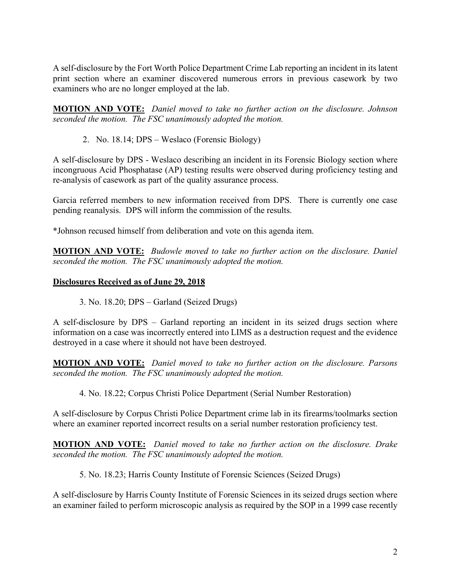A self-disclosure by the Fort Worth Police Department Crime Lab reporting an incident in its latent print section where an examiner discovered numerous errors in previous casework by two examiners who are no longer employed at the lab.

**MOTION AND VOTE:** *Daniel moved to take no further action on the disclosure. Johnson seconded the motion. The FSC unanimously adopted the motion.*

2. No. 18.14; DPS – Weslaco (Forensic Biology)

A self-disclosure by DPS - Weslaco describing an incident in its Forensic Biology section where incongruous Acid Phosphatase (AP) testing results were observed during proficiency testing and re-analysis of casework as part of the quality assurance process.

Garcia referred members to new information received from DPS. There is currently one case pending reanalysis. DPS will inform the commission of the results.

\*Johnson recused himself from deliberation and vote on this agenda item.

**MOTION AND VOTE:** *Budowle moved to take no further action on the disclosure. Daniel seconded the motion. The FSC unanimously adopted the motion.*

### **Disclosures Received as of June 29, 2018**

3. No. 18.20; DPS – Garland (Seized Drugs)

A self-disclosure by DPS – Garland reporting an incident in its seized drugs section where information on a case was incorrectly entered into LIMS as a destruction request and the evidence destroyed in a case where it should not have been destroyed.

**MOTION AND VOTE:** *Daniel moved to take no further action on the disclosure. Parsons seconded the motion. The FSC unanimously adopted the motion.*

4. No. 18.22; Corpus Christi Police Department (Serial Number Restoration)

A self-disclosure by Corpus Christi Police Department crime lab in its firearms/toolmarks section where an examiner reported incorrect results on a serial number restoration proficiency test.

**MOTION AND VOTE:** *Daniel moved to take no further action on the disclosure. Drake seconded the motion. The FSC unanimously adopted the motion.*

5. No. 18.23; Harris County Institute of Forensic Sciences (Seized Drugs)

A self-disclosure by Harris County Institute of Forensic Sciences in its seized drugs section where an examiner failed to perform microscopic analysis as required by the SOP in a 1999 case recently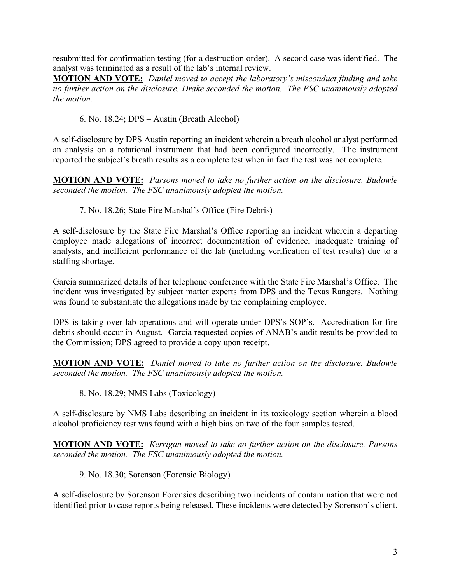resubmitted for confirmation testing (for a destruction order). A second case was identified. The analyst was terminated as a result of the lab's internal review.

**MOTION AND VOTE:** *Daniel moved to accept the laboratory's misconduct finding and take no further action on the disclosure. Drake seconded the motion. The FSC unanimously adopted the motion.*

6. No. 18.24; DPS – Austin (Breath Alcohol)

A self-disclosure by DPS Austin reporting an incident wherein a breath alcohol analyst performed an analysis on a rotational instrument that had been configured incorrectly. The instrument reported the subject's breath results as a complete test when in fact the test was not complete.

**MOTION AND VOTE:** *Parsons moved to take no further action on the disclosure. Budowle seconded the motion. The FSC unanimously adopted the motion.*

7. No. 18.26; State Fire Marshal's Office (Fire Debris)

A self-disclosure by the State Fire Marshal's Office reporting an incident wherein a departing employee made allegations of incorrect documentation of evidence, inadequate training of analysts, and inefficient performance of the lab (including verification of test results) due to a staffing shortage.

Garcia summarized details of her telephone conference with the State Fire Marshal's Office. The incident was investigated by subject matter experts from DPS and the Texas Rangers. Nothing was found to substantiate the allegations made by the complaining employee.

DPS is taking over lab operations and will operate under DPS's SOP's. Accreditation for fire debris should occur in August. Garcia requested copies of ANAB's audit results be provided to the Commission; DPS agreed to provide a copy upon receipt.

**MOTION AND VOTE:** *Daniel moved to take no further action on the disclosure. Budowle seconded the motion. The FSC unanimously adopted the motion.*

8. No. 18.29; NMS Labs (Toxicology)

A self-disclosure by NMS Labs describing an incident in its toxicology section wherein a blood alcohol proficiency test was found with a high bias on two of the four samples tested.

**MOTION AND VOTE:** *Kerrigan moved to take no further action on the disclosure. Parsons seconded the motion. The FSC unanimously adopted the motion.*

9. No. 18.30; Sorenson (Forensic Biology)

A self-disclosure by Sorenson Forensics describing two incidents of contamination that were not identified prior to case reports being released. These incidents were detected by Sorenson's client.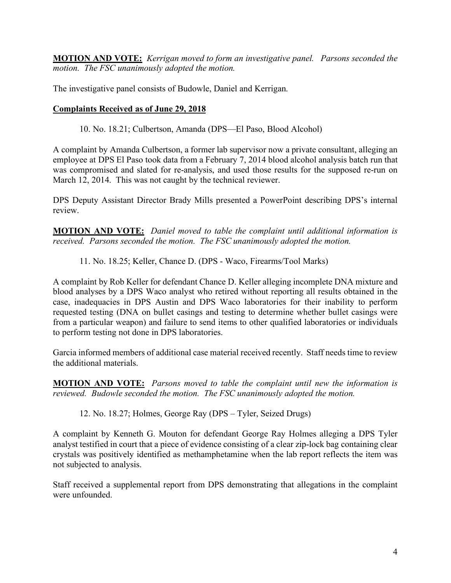**MOTION AND VOTE:** *Kerrigan moved to form an investigative panel. Parsons seconded the motion. The FSC unanimously adopted the motion.*

The investigative panel consists of Budowle, Daniel and Kerrigan.

# **Complaints Received as of June 29, 2018**

10. No. 18.21; Culbertson, Amanda (DPS—El Paso, Blood Alcohol)

A complaint by Amanda Culbertson, a former lab supervisor now a private consultant, alleging an employee at DPS El Paso took data from a February 7, 2014 blood alcohol analysis batch run that was compromised and slated for re-analysis, and used those results for the supposed re-run on March 12, 2014. This was not caught by the technical reviewer.

DPS Deputy Assistant Director Brady Mills presented a PowerPoint describing DPS's internal review.

**MOTION AND VOTE:** *Daniel moved to table the complaint until additional information is received. Parsons seconded the motion. The FSC unanimously adopted the motion.*

11. No. 18.25; Keller, Chance D. (DPS - Waco, Firearms/Tool Marks)

A complaint by Rob Keller for defendant Chance D. Keller alleging incomplete DNA mixture and blood analyses by a DPS Waco analyst who retired without reporting all results obtained in the case, inadequacies in DPS Austin and DPS Waco laboratories for their inability to perform requested testing (DNA on bullet casings and testing to determine whether bullet casings were from a particular weapon) and failure to send items to other qualified laboratories or individuals to perform testing not done in DPS laboratories.

Garcia informed members of additional case material received recently. Staff needs time to review the additional materials.

**MOTION AND VOTE:** *Parsons moved to table the complaint until new the information is reviewed. Budowle seconded the motion. The FSC unanimously adopted the motion.*

12. No. 18.27; Holmes, George Ray (DPS – Tyler, Seized Drugs)

A complaint by Kenneth G. Mouton for defendant George Ray Holmes alleging a DPS Tyler analyst testified in court that a piece of evidence consisting of a clear zip-lock bag containing clear crystals was positively identified as methamphetamine when the lab report reflects the item was not subjected to analysis.

Staff received a supplemental report from DPS demonstrating that allegations in the complaint were unfounded.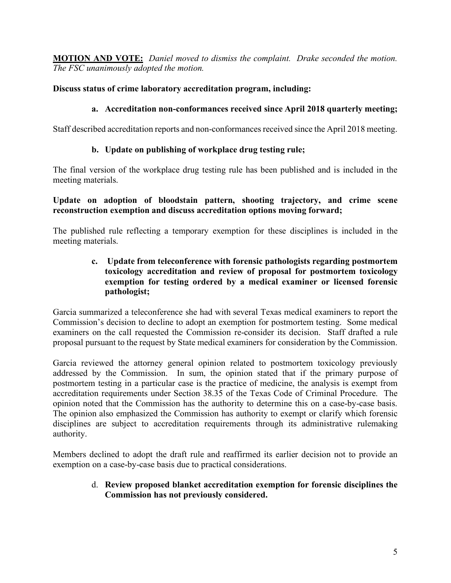**MOTION AND VOTE:** *Daniel moved to dismiss the complaint. Drake seconded the motion. The FSC unanimously adopted the motion.*

# **Discuss status of crime laboratory accreditation program, including:**

# **a. Accreditation non-conformances received since April 2018 quarterly meeting;**

Staff described accreditation reports and non-conformances received since the April 2018 meeting.

# **b. Update on publishing of workplace drug testing rule;**

The final version of the workplace drug testing rule has been published and is included in the meeting materials.

### **Update on adoption of bloodstain pattern, shooting trajectory, and crime scene reconstruction exemption and discuss accreditation options moving forward;**

The published rule reflecting a temporary exemption for these disciplines is included in the meeting materials.

## **c. Update from teleconference with forensic pathologists regarding postmortem toxicology accreditation and review of proposal for postmortem toxicology exemption for testing ordered by a medical examiner or licensed forensic pathologist;**

Garcia summarized a teleconference she had with several Texas medical examiners to report the Commission's decision to decline to adopt an exemption for postmortem testing. Some medical examiners on the call requested the Commission re-consider its decision. Staff drafted a rule proposal pursuant to the request by State medical examiners for consideration by the Commission.

Garcia reviewed the attorney general opinion related to postmortem toxicology previously addressed by the Commission. In sum, the opinion stated that if the primary purpose of postmortem testing in a particular case is the practice of medicine, the analysis is exempt from accreditation requirements under Section 38.35 of the Texas Code of Criminal Procedure. The opinion noted that the Commission has the authority to determine this on a case-by-case basis. The opinion also emphasized the Commission has authority to exempt or clarify which forensic disciplines are subject to accreditation requirements through its administrative rulemaking authority.

Members declined to adopt the draft rule and reaffirmed its earlier decision not to provide an exemption on a case-by-case basis due to practical considerations.

## d. **Review proposed blanket accreditation exemption for forensic disciplines the Commission has not previously considered.**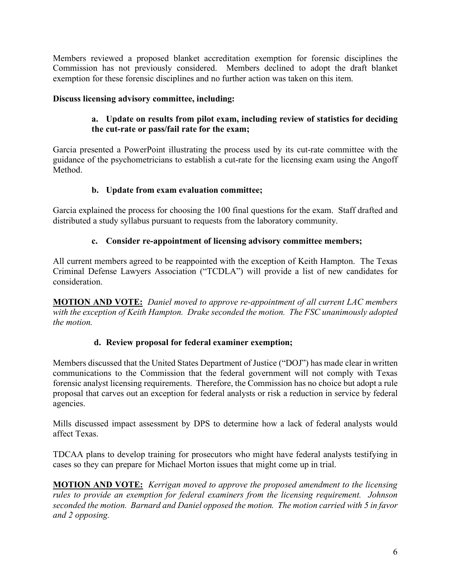Members reviewed a proposed blanket accreditation exemption for forensic disciplines the Commission has not previously considered. Members declined to adopt the draft blanket exemption for these forensic disciplines and no further action was taken on this item.

# **Discuss licensing advisory committee, including:**

# **a. Update on results from pilot exam, including review of statistics for deciding the cut-rate or pass/fail rate for the exam;**

Garcia presented a PowerPoint illustrating the process used by its cut-rate committee with the guidance of the psychometricians to establish a cut-rate for the licensing exam using the Angoff **Method** 

# **b. Update from exam evaluation committee;**

Garcia explained the process for choosing the 100 final questions for the exam. Staff drafted and distributed a study syllabus pursuant to requests from the laboratory community.

# **c. Consider re-appointment of licensing advisory committee members;**

All current members agreed to be reappointed with the exception of Keith Hampton. The Texas Criminal Defense Lawyers Association ("TCDLA") will provide a list of new candidates for consideration.

**MOTION AND VOTE:** *Daniel moved to approve re-appointment of all current LAC members with the exception of Keith Hampton. Drake seconded the motion. The FSC unanimously adopted the motion.*

## **d. Review proposal for federal examiner exemption;**

Members discussed that the United States Department of Justice ("DOJ") has made clear in written communications to the Commission that the federal government will not comply with Texas forensic analyst licensing requirements. Therefore, the Commission has no choice but adopt a rule proposal that carves out an exception for federal analysts or risk a reduction in service by federal agencies.

Mills discussed impact assessment by DPS to determine how a lack of federal analysts would affect Texas.

TDCAA plans to develop training for prosecutors who might have federal analysts testifying in cases so they can prepare for Michael Morton issues that might come up in trial.

**MOTION AND VOTE:** *Kerrigan moved to approve the proposed amendment to the licensing rules to provide an exemption for federal examiners from the licensing requirement. Johnson seconded the motion. Barnard and Daniel opposed the motion. The motion carried with 5 in favor and 2 opposing.*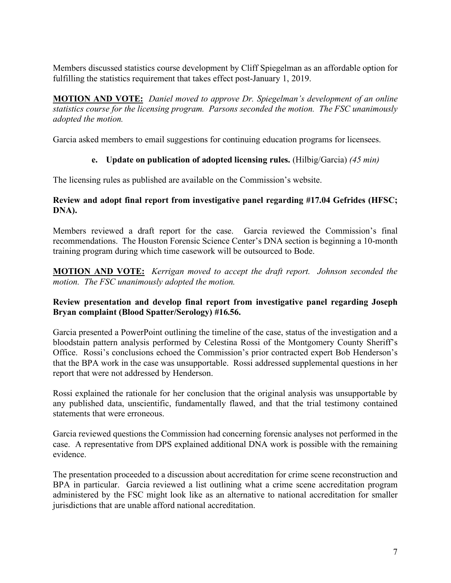Members discussed statistics course development by Cliff Spiegelman as an affordable option for fulfilling the statistics requirement that takes effect post-January 1, 2019.

**MOTION AND VOTE:** *Daniel moved to approve Dr. Spiegelman's development of an online statistics course for the licensing program. Parsons seconded the motion. The FSC unanimously adopted the motion.*

Garcia asked members to email suggestions for continuing education programs for licensees.

# **e. Update on publication of adopted licensing rules.** (Hilbig/Garcia) *(45 min)*

The licensing rules as published are available on the Commission's website.

## **Review and adopt final report from investigative panel regarding #17.04 Gefrides (HFSC; DNA).**

Members reviewed a draft report for the case. Garcia reviewed the Commission's final recommendations. The Houston Forensic Science Center's DNA section is beginning a 10-month training program during which time casework will be outsourced to Bode.

**MOTION AND VOTE:** *Kerrigan moved to accept the draft report. Johnson seconded the motion. The FSC unanimously adopted the motion.*

## **Review presentation and develop final report from investigative panel regarding Joseph Bryan complaint (Blood Spatter/Serology) #16.56.**

Garcia presented a PowerPoint outlining the timeline of the case, status of the investigation and a bloodstain pattern analysis performed by Celestina Rossi of the Montgomery County Sheriff's Office. Rossi's conclusions echoed the Commission's prior contracted expert Bob Henderson's that the BPA work in the case was unsupportable. Rossi addressed supplemental questions in her report that were not addressed by Henderson.

Rossi explained the rationale for her conclusion that the original analysis was unsupportable by any published data, unscientific, fundamentally flawed, and that the trial testimony contained statements that were erroneous.

Garcia reviewed questions the Commission had concerning forensic analyses not performed in the case. A representative from DPS explained additional DNA work is possible with the remaining evidence.

The presentation proceeded to a discussion about accreditation for crime scene reconstruction and BPA in particular. Garcia reviewed a list outlining what a crime scene accreditation program administered by the FSC might look like as an alternative to national accreditation for smaller jurisdictions that are unable afford national accreditation.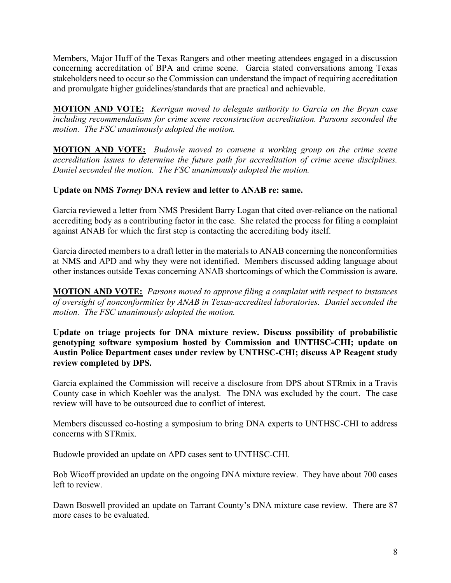Members, Major Huff of the Texas Rangers and other meeting attendees engaged in a discussion concerning accreditation of BPA and crime scene. Garcia stated conversations among Texas stakeholders need to occur so the Commission can understand the impact of requiring accreditation and promulgate higher guidelines/standards that are practical and achievable.

**MOTION AND VOTE:** *Kerrigan moved to delegate authority to Garcia on the Bryan case including recommendations for crime scene reconstruction accreditation. Parsons seconded the motion. The FSC unanimously adopted the motion.*

**MOTION AND VOTE:** *Budowle moved to convene a working group on the crime scene accreditation issues to determine the future path for accreditation of crime scene disciplines. Daniel seconded the motion. The FSC unanimously adopted the motion.*

# **Update on NMS** *Torney* **DNA review and letter to ANAB re: same.**

Garcia reviewed a letter from NMS President Barry Logan that cited over-reliance on the national accrediting body as a contributing factor in the case. She related the process for filing a complaint against ANAB for which the first step is contacting the accrediting body itself.

Garcia directed members to a draft letter in the materials to ANAB concerning the nonconformities at NMS and APD and why they were not identified. Members discussed adding language about other instances outside Texas concerning ANAB shortcomings of which the Commission is aware.

**MOTION AND VOTE:** *Parsons moved to approve filing a complaint with respect to instances of oversight of nonconformities by ANAB in Texas-accredited laboratories. Daniel seconded the motion. The FSC unanimously adopted the motion.*

**Update on triage projects for DNA mixture review. Discuss possibility of probabilistic genotyping software symposium hosted by Commission and UNTHSC-CHI; update on Austin Police Department cases under review by UNTHSC-CHI; discuss AP Reagent study review completed by DPS.**

Garcia explained the Commission will receive a disclosure from DPS about STRmix in a Travis County case in which Koehler was the analyst. The DNA was excluded by the court. The case review will have to be outsourced due to conflict of interest.

Members discussed co-hosting a symposium to bring DNA experts to UNTHSC-CHI to address concerns with STRmix.

Budowle provided an update on APD cases sent to UNTHSC-CHI.

Bob Wicoff provided an update on the ongoing DNA mixture review. They have about 700 cases left to review.

Dawn Boswell provided an update on Tarrant County's DNA mixture case review. There are 87 more cases to be evaluated.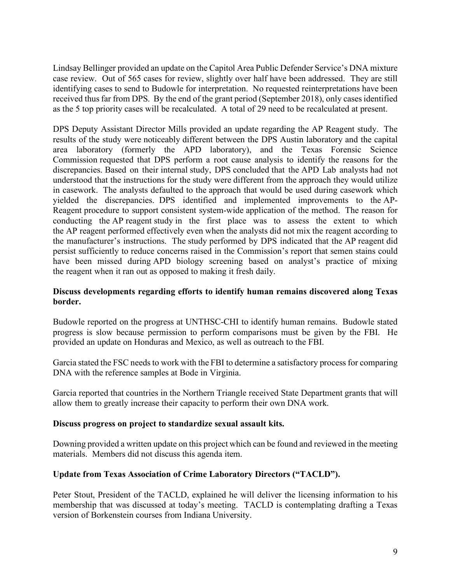Lindsay Bellinger provided an update on the Capitol Area Public Defender Service's DNA mixture case review. Out of 565 cases for review, slightly over half have been addressed. They are still identifying cases to send to Budowle for interpretation. No requested reinterpretations have been received thus far from DPS. By the end of the grant period (September 2018), only cases identified as the 5 top priority cases will be recalculated. A total of 29 need to be recalculated at present.

DPS Deputy Assistant Director Mills provided an update regarding the AP Reagent study. The results of the study were noticeably different between the DPS Austin laboratory and the capital area laboratory (formerly the APD laboratory), and the Texas Forensic Science Commission requested that DPS perform a root cause analysis to identify the reasons for the discrepancies. Based on their internal study, DPS concluded that the APD Lab analysts had not understood that the instructions for the study were different from the approach they would utilize in casework. The analysts defaulted to the approach that would be used during casework which yielded the discrepancies. DPS identified and implemented improvements to the AP-Reagent procedure to support consistent system-wide application of the method. The reason for conducting the AP reagent study in the first place was to assess the extent to which the AP reagent performed effectively even when the analysts did not mix the reagent according to the manufacturer's instructions. The study performed by DPS indicated that the AP reagent did persist sufficiently to reduce concerns raised in the Commission's report that semen stains could have been missed during APD biology screening based on analyst's practice of mixing the reagent when it ran out as opposed to making it fresh daily.

## **Discuss developments regarding efforts to identify human remains discovered along Texas border.**

Budowle reported on the progress at UNTHSC-CHI to identify human remains. Budowle stated progress is slow because permission to perform comparisons must be given by the FBI. He provided an update on Honduras and Mexico, as well as outreach to the FBI.

Garcia stated the FSC needs to work with the FBI to determine a satisfactory process for comparing DNA with the reference samples at Bode in Virginia.

Garcia reported that countries in the Northern Triangle received State Department grants that will allow them to greatly increase their capacity to perform their own DNA work.

## **Discuss progress on project to standardize sexual assault kits.**

Downing provided a written update on this project which can be found and reviewed in the meeting materials. Members did not discuss this agenda item.

## **Update from Texas Association of Crime Laboratory Directors ("TACLD").**

Peter Stout, President of the TACLD, explained he will deliver the licensing information to his membership that was discussed at today's meeting. TACLD is contemplating drafting a Texas version of Borkenstein courses from Indiana University.